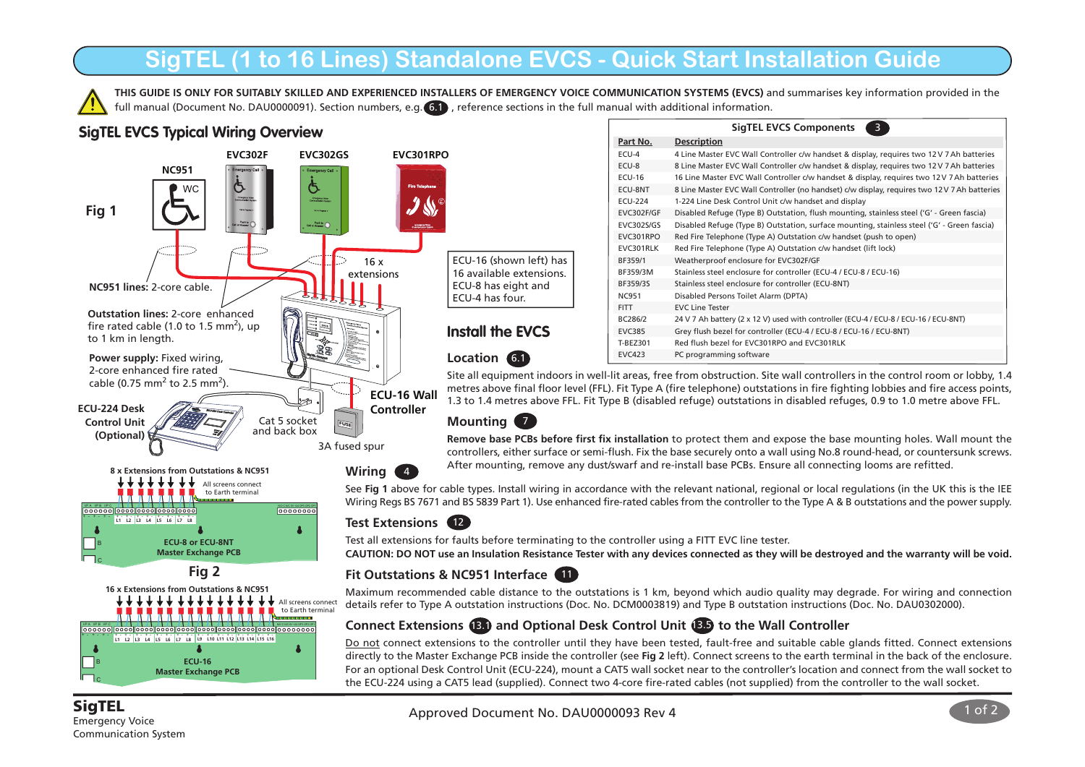# **SigTEL (1 to 16 Lines) Standalone EVCS - Quick Start Installation Guide**

**THIS GUIDE IS ONLY FOR SUITABLY SKILLED AND EXPERIENCED INSTALLERS OF EMERGENCY VOICE COMMUNICATION SYSTEMS (EVCS)** and summarises key information provided in the full manual (Document No. DAU0000091). Section numbers, e.g. 6.1 , reference sections in the full manual with additional information.

# **SigTEL EVCS Typical Wiring Overview**



|                   | <b>SigTEL EVCS Components</b><br>3                                                           |
|-------------------|----------------------------------------------------------------------------------------------|
| Part No.          | <b>Description</b>                                                                           |
| ECU-4             | 4 Line Master EVC Wall Controller c/w handset & display, requires two 12V 7 Ah batteries     |
| ECU-8             | 8 Line Master EVC Wall Controller c/w handset & display, requires two 12V 7 Ah batteries     |
| <b>ECU-16</b>     | 16 Line Master EVC Wall Controller c/w handset & display, requires two 12 V 7 Ah batteries   |
| ECU-8NT           | 8 Line Master EVC Wall Controller (no handset) c/w display, requires two 12 V 7 Ah batteries |
| <b>ECU-224</b>    | 1-224 Line Desk Control Unit c/w handset and display                                         |
| <b>EVC302F/GF</b> | Disabled Refuge (Type B) Outstation, flush mounting, stainless steel ('G' - Green fascia)    |
| EVC302S/GS        | Disabled Refuge (Type B) Outstation, surface mounting, stainless steel ('G' - Green fascia)  |
| EVC301RPO         | Red Fire Telephone (Type A) Outstation c/w handset (push to open)                            |
| EVC301RLK         | Red Fire Telephone (Type A) Outstation c/w handset (lift lock)                               |
| BF359/1           | Weatherproof enclosure for EVC302F/GF                                                        |
| BF359/3M          | Stainless steel enclosure for controller (ECU-4 / ECU-8 / ECU-16)                            |
| BF359/3S          | Stainless steel enclosure for controller (ECU-8NT)                                           |
| <b>NC951</b>      | Disabled Persons Toilet Alarm (DPTA)                                                         |
| <b>FITT</b>       | <b>EVC Line Tester</b>                                                                       |
| RC286/2           | 24 V 7 Ah battery (2 x 12 V) used with controller (ECU-4 / ECU-8 / ECU-16 / ECU-8NT)         |
| <b>EVC385</b>     | Grey flush bezel for controller (ECU-4 / ECU-8 / ECU-16 / ECU-8NT)                           |
| T-BEZ301          | Red flush bezel for EVC301RPO and EVC301RLK                                                  |
| <b>FVC423</b>     | PC programming software                                                                      |

Site all equipment indoors in well-lit areas, free from obstruction. Site wall controllers in the control room or lobby, 1.4 metres above final floor level (FFL). Fit Type A (fire telephone) outstations in fire fighting lobbies and fire access points, 1.3 to 1.4 metres above FFL. Fit Type B (disabled refuge) outstations in disabled refuges, 0.9 to 1.0 metre above FFL.

## **Mounting** 7

**Remove base PCBs before first fix installation** to protect them and expose the base mounting holes. Wall mount the controllers, either surface or semi-flush. Fix the base securely onto a wall using No.8 round-head, or countersunk screws. After mounting, remove any dust/swarf and re-install base PCBs. Ensure all connecting looms are refitted.

See **Fig 1** above for cable types. Install wiring in accordance with the relevant national, regional or local regulations (in the UK this is the IEE Wiring Regs BS 7671 and BS 5839 Part 1). Use enhanced fire-rated cables from the controller to the Type A & B outstations and the power supply.

Test all extensions for faults before terminating to the controller using a FITT EVC line tester.

**CAUTION: DO NOT use an Insulation Resistance Tester with any devices connected as they will be destroyed and the warranty will be void.**

## **Fit Outstations & NC951 Interface** 11

Maximum recommended cable distance to the outstations is 1 km, beyond which audio quality may degrade. For wiring and connection details refer to Type A outstation instructions (Doc. No. DCM0003819) and Type B outstation instructions (Doc. No. DAU0302000).

## **Connect Extensions (B) and Optional Desk Control Unit (BD) to the Wall Controller**

Do not connect extensions to the controller until they have been tested, fault-free and suitable cable glands fitted. Connect extensions directly to the Master Exchange PCB inside the controller (see **Fig 2** left). Connect screens to the earth terminal in the back of the enclosure. For an optional Desk Control Unit (ECU-224), mount a CAT5 wall socket near to the controller's location and connect from the wall socket to the ECU-224 using a CAT5 lead (supplied). Connect two 4-core fire-rated cables (not supplied) from the controller to the wall socket.



Emergency Voice Communication System

C

**Master Exchange PCB**